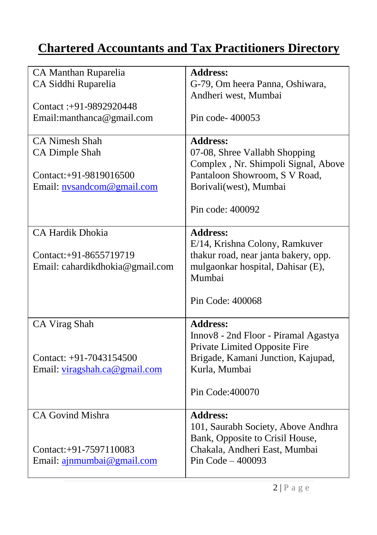## **Chartered Accountants and Tax Practitioners Directory**

| CA Manthan Ruparelia            | <b>Address:</b>                      |
|---------------------------------|--------------------------------------|
| CA Siddhi Ruparelia             | G-79, Om heera Panna, Oshiwara,      |
|                                 | Andheri west, Mumbai                 |
| Contact: +91-9892920448         |                                      |
| Email:manthanca@gmail.com       | Pin code-400053                      |
|                                 |                                      |
| <b>CA Nimesh Shah</b>           | <b>Address:</b>                      |
| <b>CA Dimple Shah</b>           | 07-08, Shree Vallabh Shopping        |
|                                 | Complex, Nr. Shimpoli Signal, Above  |
| Contact:+91-9819016500          | Pantaloon Showroom, S V Road,        |
| Email: nysandcom@gmail.com      | Borivali(west), Mumbai               |
|                                 |                                      |
|                                 | Pin code: 400092                     |
|                                 |                                      |
| <b>CA Hardik Dhokia</b>         | <b>Address:</b>                      |
|                                 | E/14, Krishna Colony, Ramkuver       |
| Contact:+91-8655719719          | thakur road, near janta bakery, opp. |
| Email: cahardikdhokia@gmail.com | mulgaonkar hospital, Dahisar (E),    |
|                                 | Mumbai                               |
|                                 |                                      |
|                                 | Pin Code: 400068                     |
|                                 |                                      |
| CA Virag Shah                   | <b>Address:</b>                      |
|                                 | Innov8 - 2nd Floor - Piramal Agastya |
|                                 | Private Limited Opposite Fire        |
| Contact: +91-7043154500         | Brigade, Kamani Junction, Kajupad,   |
| Email: viragshah.ca@gmail.com   | Kurla, Mumbai                        |
|                                 |                                      |
|                                 | Pin Code: 400070                     |
|                                 |                                      |
| CA Govind Mishra                | <b>Address:</b>                      |
|                                 | 101, Saurabh Society, Above Andhra   |
|                                 | Bank, Opposite to Crisil House,      |
| Contact:+91-7597110083          | Chakala, Andheri East, Mumbai        |
| Email: ajnmumbai@gmail.com      | Pin Code $-400093$                   |
|                                 |                                      |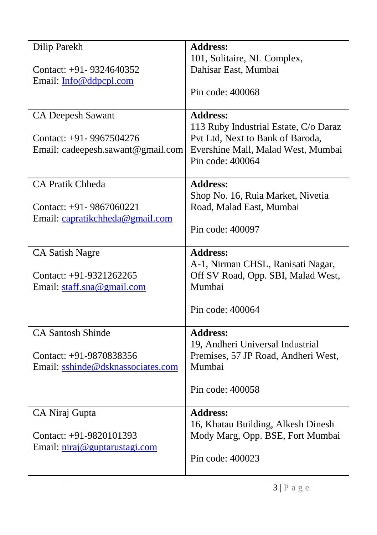| Dilip Parekh                      | <b>Address:</b>                                                         |
|-----------------------------------|-------------------------------------------------------------------------|
|                                   | 101, Solitaire, NL Complex,                                             |
| Contact: $+91 - 9324640352$       | Dahisar East, Mumbai                                                    |
| Email: Info@ddpcpl.com            |                                                                         |
|                                   | Pin code: 400068                                                        |
| <b>CA Deepesh Sawant</b>          | <b>Address:</b>                                                         |
|                                   | 113 Ruby Industrial Estate, C/o Daraz                                   |
| Contact: +91-9967504276           | Pvt Ltd, Next to Bank of Baroda,                                        |
| Email: cadeepesh.sawant@gmail.com | Evershine Mall, Malad West, Mumbai                                      |
|                                   | Pin code: 400064                                                        |
|                                   |                                                                         |
| <b>CA Pratik Chheda</b>           | <b>Address:</b>                                                         |
|                                   | Shop No. 16, Ruia Market, Nivetia                                       |
| Contact: $+91 - 9867060221$       | Road, Malad East, Mumbai                                                |
| Email: capratikchheda@gmail.com   |                                                                         |
|                                   | Pin code: 400097                                                        |
|                                   | <b>Address:</b>                                                         |
| <b>CA Satish Nagre</b>            |                                                                         |
| Contact: +91-9321262265           | A-1, Nirman CHSL, Ranisati Nagar,<br>Off SV Road, Opp. SBI, Malad West, |
| Email: staff.sna@gmail.com        | Mumbai                                                                  |
|                                   |                                                                         |
|                                   | Pin code: 400064                                                        |
|                                   |                                                                         |
| <b>CA Santosh Shinde</b>          | <b>Address:</b>                                                         |
|                                   | 19, Andheri Universal Industrial                                        |
| Contact: +91-9870838356           | Premises, 57 JP Road, Andheri West,                                     |
| Email: sshinde@dsknassociates.com | Mumbai                                                                  |
|                                   | Pin code: 400058                                                        |
|                                   |                                                                         |
| CA Niraj Gupta                    | <b>Address:</b>                                                         |
|                                   | 16, Khatau Building, Alkesh Dinesh                                      |
| Contact: +91-9820101393           | Mody Marg, Opp. BSE, Fort Mumbai                                        |
| Email: niraj@guptarustagi.com     |                                                                         |
|                                   | Pin code: 400023                                                        |
|                                   |                                                                         |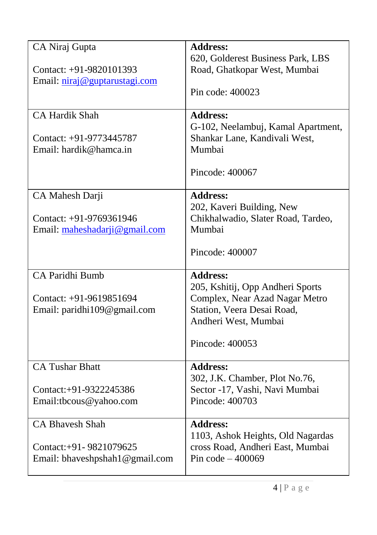| CA Niraj Gupta                                   | <b>Address:</b><br>620, Golderest Business Park, LBS                  |
|--------------------------------------------------|-----------------------------------------------------------------------|
| Contact: +91-9820101393                          | Road, Ghatkopar West, Mumbai                                          |
| Email: niraj@guptarustagi.com                    | Pin code: 400023                                                      |
| <b>CA Hardik Shah</b>                            | <b>Address:</b><br>G-102, Neelambuj, Kamal Apartment,                 |
| Contact: +91-9773445787                          | Shankar Lane, Kandivali West,                                         |
| Email: hardik@hamca.in                           | Mumbai                                                                |
|                                                  | Pincode: 400067                                                       |
| CA Mahesh Darji                                  | <b>Address:</b>                                                       |
| Contact: +91-9769361946                          | 202, Kaveri Building, New<br>Chikhalwadio, Slater Road, Tardeo,       |
| Email: maheshadarji@gmail.com                    | Mumbai                                                                |
|                                                  |                                                                       |
|                                                  | Pincode: 400007                                                       |
| CA Paridhi Bumb                                  | <b>Address:</b>                                                       |
| Contact: +91-9619851694                          | 205, Kshitij, Opp Andheri Sports<br>Complex, Near Azad Nagar Metro    |
| Email: paridhi109@gmail.com                      | Station, Veera Desai Road,                                            |
|                                                  | Andheri West, Mumbai                                                  |
|                                                  | Pincode: 400053                                                       |
| <b>CA Tushar Bhatt</b>                           | <b>Address:</b>                                                       |
|                                                  | 302, J.K. Chamber, Plot No.76,                                        |
| Contact:+91-9322245386<br>Email:tbcous@yahoo.com | Sector -17, Vashi, Navi Mumbai<br>Pincode: 400703                     |
|                                                  |                                                                       |
| <b>CA Bhavesh Shah</b>                           | <b>Address:</b>                                                       |
| Contact:+91-9821079625                           | 1103, Ashok Heights, Old Nagardas<br>cross Road, Andheri East, Mumbai |
| Email: bhaveshpshah1@gmail.com                   | Pin $code-400069$                                                     |
|                                                  |                                                                       |